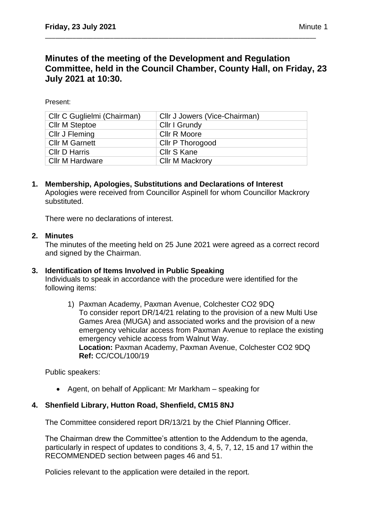# **Minutes of the meeting of the Development and Regulation Committee, held in the Council Chamber, County Hall, on Friday, 23 July 2021 at 10:30.**

\_\_\_\_\_\_\_\_\_\_\_\_\_\_\_\_\_\_\_\_\_\_\_\_\_\_\_\_\_\_\_\_\_\_\_\_\_\_\_\_\_\_\_\_\_\_\_\_\_\_\_\_\_\_\_\_\_\_\_\_\_\_\_\_\_\_\_\_\_\_\_\_\_\_\_\_\_\_\_

Present:

| Cllr C Guglielmi (Chairman) | Cllr J Jowers (Vice-Chairman) |
|-----------------------------|-------------------------------|
| <b>Cllr M Steptoe</b>       | Cllr I Grundy                 |
| Cllr J Fleming              | <b>CIIr R Moore</b>           |
| <b>Cllr M Garnett</b>       | Cllr P Thorogood              |
| <b>CIIr D Harris</b>        | Cllr S Kane                   |
| Cllr M Hardware             | <b>Cllr M Mackrory</b>        |

**1. Membership, Apologies, Substitutions and Declarations of Interest**  Apologies were received from Councillor Aspinell for whom Councillor Mackrory substituted.

There were no declarations of interest.

## **2. Minutes**

The minutes of the meeting held on 25 June 2021 were agreed as a correct record and signed by the Chairman.

## **3. Identification of Items Involved in Public Speaking**

Individuals to speak in accordance with the procedure were identified for the following items:

1) Paxman Academy, Paxman Avenue, Colchester CO2 9DQ To consider report DR/14/21 relating to the provision of a new Multi Use Games Area (MUGA) and associated works and the provision of a new emergency vehicular access from Paxman Avenue to replace the existing emergency vehicle access from Walnut Way. **Location:** Paxman Academy, Paxman Avenue, Colchester CO2 9DQ **Ref:** CC/COL/100/19

Public speakers:

• Agent, on behalf of Applicant: Mr Markham – speaking for

## **4. Shenfield Library, Hutton Road, Shenfield, CM15 8NJ**

The Committee considered report DR/13/21 by the Chief Planning Officer.

The Chairman drew the Committee's attention to the Addendum to the agenda, particularly in respect of updates to conditions 3, 4, 5, 7, 12, 15 and 17 within the RECOMMENDED section between pages 46 and 51.

Policies relevant to the application were detailed in the report.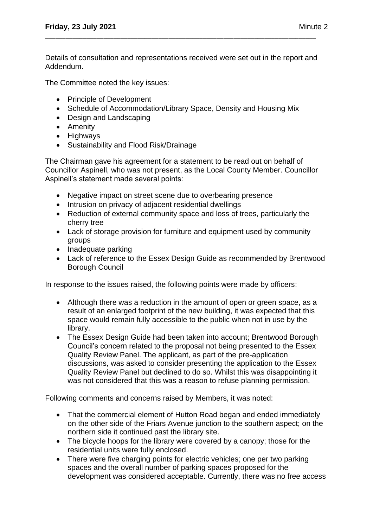Details of consultation and representations received were set out in the report and Addendum.

\_\_\_\_\_\_\_\_\_\_\_\_\_\_\_\_\_\_\_\_\_\_\_\_\_\_\_\_\_\_\_\_\_\_\_\_\_\_\_\_\_\_\_\_\_\_\_\_\_\_\_\_\_\_\_\_\_\_\_\_\_\_\_\_\_\_\_\_\_\_\_\_\_\_\_\_\_\_\_

The Committee noted the key issues:

- Principle of Development
- Schedule of Accommodation/Library Space, Density and Housing Mix
- Design and Landscaping
- Amenity
- Highways
- Sustainability and Flood Risk/Drainage

The Chairman gave his agreement for a statement to be read out on behalf of Councillor Aspinell, who was not present, as the Local County Member. Councillor Aspinell's statement made several points:

- Negative impact on street scene due to overbearing presence
- Intrusion on privacy of adjacent residential dwellings
- Reduction of external community space and loss of trees, particularly the cherry tree
- Lack of storage provision for furniture and equipment used by community groups
- Inadequate parking
- Lack of reference to the Essex Design Guide as recommended by Brentwood Borough Council

In response to the issues raised, the following points were made by officers:

- Although there was a reduction in the amount of open or green space, as a result of an enlarged footprint of the new building, it was expected that this space would remain fully accessible to the public when not in use by the library.
- The Essex Design Guide had been taken into account; Brentwood Borough Council's concern related to the proposal not being presented to the Essex Quality Review Panel. The applicant, as part of the pre-application discussions, was asked to consider presenting the application to the Essex Quality Review Panel but declined to do so. Whilst this was disappointing it was not considered that this was a reason to refuse planning permission.

Following comments and concerns raised by Members, it was noted:

- That the commercial element of Hutton Road began and ended immediately on the other side of the Friars Avenue junction to the southern aspect; on the northern side it continued past the library site.
- The bicycle hoops for the library were covered by a canopy; those for the residential units were fully enclosed.
- There were five charging points for electric vehicles; one per two parking spaces and the overall number of parking spaces proposed for the development was considered acceptable. Currently, there was no free access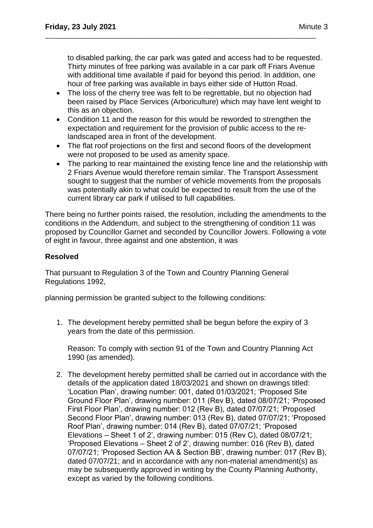to disabled parking, the car park was gated and access had to be requested. Thirty minutes of free parking was available in a car park off Friars Avenue with additional time available if paid for beyond this period. In addition, one hour of free parking was available in bays either side of Hutton Road.

• The loss of the cherry tree was felt to be regrettable, but no objection had been raised by Place Services (Arboriculture) which may have lent weight to this as an objection.

\_\_\_\_\_\_\_\_\_\_\_\_\_\_\_\_\_\_\_\_\_\_\_\_\_\_\_\_\_\_\_\_\_\_\_\_\_\_\_\_\_\_\_\_\_\_\_\_\_\_\_\_\_\_\_\_\_\_\_\_\_\_\_\_\_\_\_\_\_\_\_\_\_\_\_\_\_\_\_

- Condition 11 and the reason for this would be reworded to strengthen the expectation and requirement for the provision of public access to the relandscaped area in front of the development.
- The flat roof projections on the first and second floors of the development were not proposed to be used as amenity space.
- The parking to rear maintained the existing fence line and the relationship with 2 Friars Avenue would therefore remain similar. The Transport Assessment sought to suggest that the number of vehicle movements from the proposals was potentially akin to what could be expected to result from the use of the current library car park if utilised to full capabilities.

There being no further points raised, the resolution, including the amendments to the conditions in the Addendum, and subject to the strengthening of condition 11 was proposed by Councillor Garnet and seconded by Councillor Jowers. Following a vote of eight in favour, three against and one abstention, it was

## **Resolved**

That pursuant to Regulation 3 of the Town and Country Planning General Regulations 1992,

planning permission be granted subject to the following conditions:

1. The development hereby permitted shall be begun before the expiry of 3 years from the date of this permission.

Reason: To comply with section 91 of the Town and Country Planning Act 1990 (as amended).

2. The development hereby permitted shall be carried out in accordance with the details of the application dated 18/03/2021 and shown on drawings titled: 'Location Plan', drawing number: 001, dated 01/03/2021; 'Proposed Site Ground Floor Plan', drawing number: 011 (Rev B), dated 08/07/21; 'Proposed First Floor Plan', drawing number: 012 (Rev B), dated 07/07/21; 'Proposed Second Floor Plan', drawing number: 013 (Rev B), dated 07/07/21; 'Proposed Roof Plan', drawing number: 014 (Rev B), dated 07/07/21; 'Proposed Elevations – Sheet 1 of 2', drawing number: 015 (Rev C), dated 08/07/21; 'Proposed Elevations – Sheet 2 of 2', drawing number: 016 (Rev B), dated 07/07/21; 'Proposed Section AA & Section BB', drawing number: 017 (Rev B), dated 07/07/21; and in accordance with any non-material amendment(s) as may be subsequently approved in writing by the County Planning Authority, except as varied by the following conditions.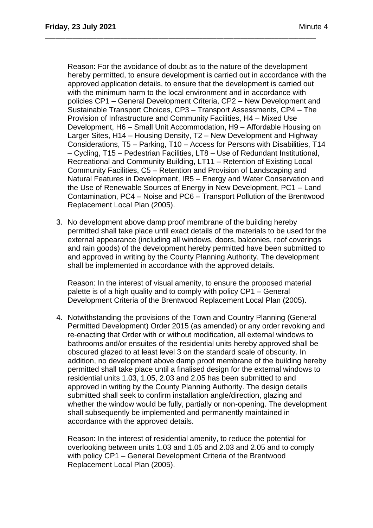Reason: For the avoidance of doubt as to the nature of the development hereby permitted, to ensure development is carried out in accordance with the approved application details, to ensure that the development is carried out with the minimum harm to the local environment and in accordance with policies CP1 – General Development Criteria, CP2 – New Development and Sustainable Transport Choices, CP3 – Transport Assessments, CP4 – The Provision of Infrastructure and Community Facilities, H4 – Mixed Use Development, H6 – Small Unit Accommodation, H9 – Affordable Housing on Larger Sites, H14 – Housing Density, T2 – New Development and Highway Considerations, T5 – Parking, T10 – Access for Persons with Disabilities, T14 – Cycling, T15 – Pedestrian Facilities, LT8 – Use of Redundant Institutional, Recreational and Community Building, LT11 – Retention of Existing Local Community Facilities, C5 – Retention and Provision of Landscaping and Natural Features in Development, IR5 – Energy and Water Conservation and the Use of Renewable Sources of Energy in New Development, PC1 – Land Contamination, PC4 – Noise and PC6 – Transport Pollution of the Brentwood Replacement Local Plan (2005).

\_\_\_\_\_\_\_\_\_\_\_\_\_\_\_\_\_\_\_\_\_\_\_\_\_\_\_\_\_\_\_\_\_\_\_\_\_\_\_\_\_\_\_\_\_\_\_\_\_\_\_\_\_\_\_\_\_\_\_\_\_\_\_\_\_\_\_\_\_\_\_\_\_\_\_\_\_\_\_

3. No development above damp proof membrane of the building hereby permitted shall take place until exact details of the materials to be used for the external appearance (including all windows, doors, balconies, roof coverings and rain goods) of the development hereby permitted have been submitted to and approved in writing by the County Planning Authority. The development shall be implemented in accordance with the approved details.

Reason: In the interest of visual amenity, to ensure the proposed material palette is of a high quality and to comply with policy CP1 – General Development Criteria of the Brentwood Replacement Local Plan (2005).

4. Notwithstanding the provisions of the Town and Country Planning (General Permitted Development) Order 2015 (as amended) or any order revoking and re-enacting that Order with or without modification, all external windows to bathrooms and/or ensuites of the residential units hereby approved shall be obscured glazed to at least level 3 on the standard scale of obscurity. In addition, no development above damp proof membrane of the building hereby permitted shall take place until a finalised design for the external windows to residential units 1.03, 1.05, 2.03 and 2.05 has been submitted to and approved in writing by the County Planning Authority. The design details submitted shall seek to confirm installation angle/direction, glazing and whether the window would be fully, partially or non-opening. The development shall subsequently be implemented and permanently maintained in accordance with the approved details.

Reason: In the interest of residential amenity, to reduce the potential for overlooking between units 1.03 and 1.05 and 2.03 and 2.05 and to comply with policy CP1 – General Development Criteria of the Brentwood Replacement Local Plan (2005).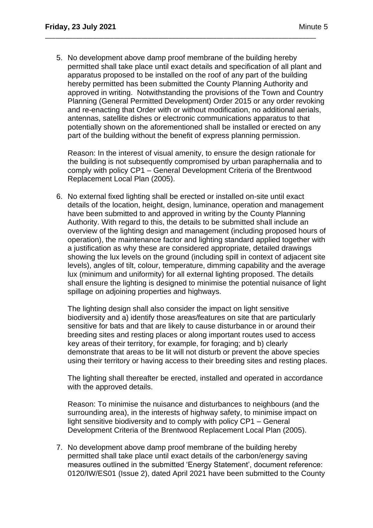5. No development above damp proof membrane of the building hereby permitted shall take place until exact details and specification of all plant and apparatus proposed to be installed on the roof of any part of the building hereby permitted has been submitted the County Planning Authority and approved in writing. Notwithstanding the provisions of the Town and Country Planning (General Permitted Development) Order 2015 or any order revoking and re-enacting that Order with or without modification, no additional aerials, antennas, satellite dishes or electronic communications apparatus to that potentially shown on the aforementioned shall be installed or erected on any part of the building without the benefit of express planning permission.

\_\_\_\_\_\_\_\_\_\_\_\_\_\_\_\_\_\_\_\_\_\_\_\_\_\_\_\_\_\_\_\_\_\_\_\_\_\_\_\_\_\_\_\_\_\_\_\_\_\_\_\_\_\_\_\_\_\_\_\_\_\_\_\_\_\_\_\_\_\_\_\_\_\_\_\_\_\_\_

Reason: In the interest of visual amenity, to ensure the design rationale for the building is not subsequently compromised by urban paraphernalia and to comply with policy CP1 – General Development Criteria of the Brentwood Replacement Local Plan (2005).

6. No external fixed lighting shall be erected or installed on-site until exact details of the location, height, design, luminance, operation and management have been submitted to and approved in writing by the County Planning Authority. With regard to this, the details to be submitted shall include an overview of the lighting design and management (including proposed hours of operation), the maintenance factor and lighting standard applied together with a justification as why these are considered appropriate, detailed drawings showing the lux levels on the ground (including spill in context of adjacent site levels), angles of tilt, colour, temperature, dimming capability and the average lux (minimum and uniformity) for all external lighting proposed. The details shall ensure the lighting is designed to minimise the potential nuisance of light spillage on adjoining properties and highways.

The lighting design shall also consider the impact on light sensitive biodiversity and a) identify those areas/features on site that are particularly sensitive for bats and that are likely to cause disturbance in or around their breeding sites and resting places or along important routes used to access key areas of their territory, for example, for foraging; and b) clearly demonstrate that areas to be lit will not disturb or prevent the above species using their territory or having access to their breeding sites and resting places.

The lighting shall thereafter be erected, installed and operated in accordance with the approved details.

Reason: To minimise the nuisance and disturbances to neighbours (and the surrounding area), in the interests of highway safety, to minimise impact on light sensitive biodiversity and to comply with policy CP1 – General Development Criteria of the Brentwood Replacement Local Plan (2005).

7. No development above damp proof membrane of the building hereby permitted shall take place until exact details of the carbon/energy saving measures outlined in the submitted 'Energy Statement', document reference: 0120/IW/ES01 (Issue 2), dated April 2021 have been submitted to the County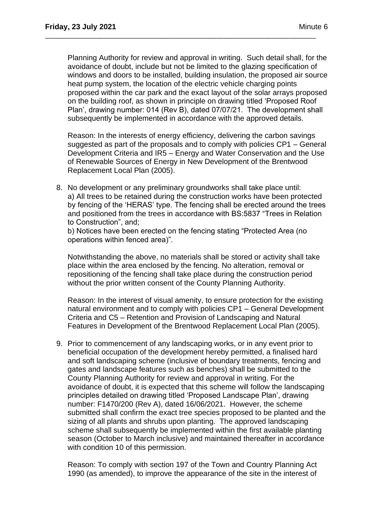Planning Authority for review and approval in writing. Such detail shall, for the avoidance of doubt, include but not be limited to the glazing specification of windows and doors to be installed, building insulation, the proposed air source heat pump system, the location of the electric vehicle charging points proposed within the car park and the exact layout of the solar arrays proposed on the building roof, as shown in principle on drawing titled 'Proposed Roof Plan', drawing number: 014 (Rev B), dated 07/07/21. The development shall subsequently be implemented in accordance with the approved details.

\_\_\_\_\_\_\_\_\_\_\_\_\_\_\_\_\_\_\_\_\_\_\_\_\_\_\_\_\_\_\_\_\_\_\_\_\_\_\_\_\_\_\_\_\_\_\_\_\_\_\_\_\_\_\_\_\_\_\_\_\_\_\_\_\_\_\_\_\_\_\_\_\_\_\_\_\_\_\_

Reason: In the interests of energy efficiency, delivering the carbon savings suggested as part of the proposals and to comply with policies CP1 – General Development Criteria and IR5 – Energy and Water Conservation and the Use of Renewable Sources of Energy in New Development of the Brentwood Replacement Local Plan (2005).

8. No development or any preliminary groundworks shall take place until: a) All trees to be retained during the construction works have been protected by fencing of the 'HERAS' type. The fencing shall be erected around the trees and positioned from the trees in accordance with BS:5837 "Trees in Relation to Construction", and;

b) Notices have been erected on the fencing stating "Protected Area (no operations within fenced area)".

Notwithstanding the above, no materials shall be stored or activity shall take place within the area enclosed by the fencing. No alteration, removal or repositioning of the fencing shall take place during the construction period without the prior written consent of the County Planning Authority.

Reason: In the interest of visual amenity, to ensure protection for the existing natural environment and to comply with policies CP1 – General Development Criteria and C5 – Retention and Provision of Landscaping and Natural Features in Development of the Brentwood Replacement Local Plan (2005).

9. Prior to commencement of any landscaping works, or in any event prior to beneficial occupation of the development hereby permitted, a finalised hard and soft landscaping scheme (inclusive of boundary treatments, fencing and gates and landscape features such as benches) shall be submitted to the County Planning Authority for review and approval in writing. For the avoidance of doubt, it is expected that this scheme will follow the landscaping principles detailed on drawing titled 'Proposed Landscape Plan', drawing number: F1470/200 (Rev A), dated 16/06/2021. However, the scheme submitted shall confirm the exact tree species proposed to be planted and the sizing of all plants and shrubs upon planting. The approved landscaping scheme shall subsequently be implemented within the first available planting season (October to March inclusive) and maintained thereafter in accordance with condition 10 of this permission.

Reason: To comply with section 197 of the Town and Country Planning Act 1990 (as amended), to improve the appearance of the site in the interest of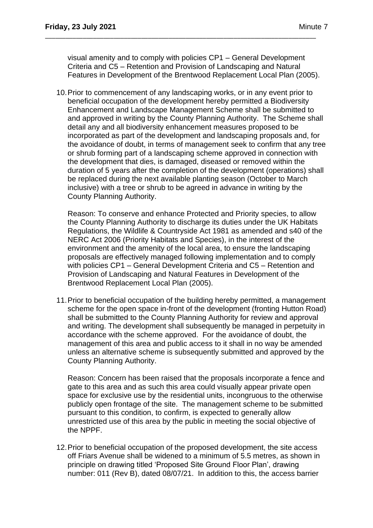visual amenity and to comply with policies CP1 – General Development Criteria and C5 – Retention and Provision of Landscaping and Natural Features in Development of the Brentwood Replacement Local Plan (2005).

\_\_\_\_\_\_\_\_\_\_\_\_\_\_\_\_\_\_\_\_\_\_\_\_\_\_\_\_\_\_\_\_\_\_\_\_\_\_\_\_\_\_\_\_\_\_\_\_\_\_\_\_\_\_\_\_\_\_\_\_\_\_\_\_\_\_\_\_\_\_\_\_\_\_\_\_\_\_\_

10.Prior to commencement of any landscaping works, or in any event prior to beneficial occupation of the development hereby permitted a Biodiversity Enhancement and Landscape Management Scheme shall be submitted to and approved in writing by the County Planning Authority. The Scheme shall detail any and all biodiversity enhancement measures proposed to be incorporated as part of the development and landscaping proposals and, for the avoidance of doubt, in terms of management seek to confirm that any tree or shrub forming part of a landscaping scheme approved in connection with the development that dies, is damaged, diseased or removed within the duration of 5 years after the completion of the development (operations) shall be replaced during the next available planting season (October to March inclusive) with a tree or shrub to be agreed in advance in writing by the County Planning Authority.

Reason: To conserve and enhance Protected and Priority species, to allow the County Planning Authority to discharge its duties under the UK Habitats Regulations, the Wildlife & Countryside Act 1981 as amended and s40 of the NERC Act 2006 (Priority Habitats and Species), in the interest of the environment and the amenity of the local area, to ensure the landscaping proposals are effectively managed following implementation and to comply with policies CP1 – General Development Criteria and C5 – Retention and Provision of Landscaping and Natural Features in Development of the Brentwood Replacement Local Plan (2005).

11.Prior to beneficial occupation of the building hereby permitted, a management scheme for the open space in-front of the development (fronting Hutton Road) shall be submitted to the County Planning Authority for review and approval and writing. The development shall subsequently be managed in perpetuity in accordance with the scheme approved. For the avoidance of doubt, the management of this area and public access to it shall in no way be amended unless an alternative scheme is subsequently submitted and approved by the County Planning Authority.

Reason: Concern has been raised that the proposals incorporate a fence and gate to this area and as such this area could visually appear private open space for exclusive use by the residential units, incongruous to the otherwise publicly open frontage of the site. The management scheme to be submitted pursuant to this condition, to confirm, is expected to generally allow unrestricted use of this area by the public in meeting the social objective of the NPPF.

12.Prior to beneficial occupation of the proposed development, the site access off Friars Avenue shall be widened to a minimum of 5.5 metres, as shown in principle on drawing titled 'Proposed Site Ground Floor Plan', drawing number: 011 (Rev B), dated 08/07/21. In addition to this, the access barrier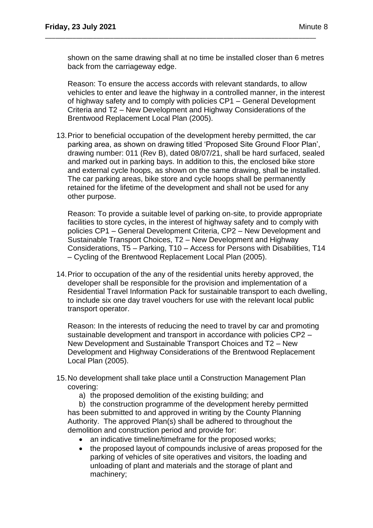shown on the same drawing shall at no time be installed closer than 6 metres back from the carriageway edge.

\_\_\_\_\_\_\_\_\_\_\_\_\_\_\_\_\_\_\_\_\_\_\_\_\_\_\_\_\_\_\_\_\_\_\_\_\_\_\_\_\_\_\_\_\_\_\_\_\_\_\_\_\_\_\_\_\_\_\_\_\_\_\_\_\_\_\_\_\_\_\_\_\_\_\_\_\_\_\_

Reason: To ensure the access accords with relevant standards, to allow vehicles to enter and leave the highway in a controlled manner, in the interest of highway safety and to comply with policies CP1 – General Development Criteria and T2 – New Development and Highway Considerations of the Brentwood Replacement Local Plan (2005).

13.Prior to beneficial occupation of the development hereby permitted, the car parking area, as shown on drawing titled 'Proposed Site Ground Floor Plan', drawing number: 011 (Rev B), dated 08/07/21, shall be hard surfaced, sealed and marked out in parking bays. In addition to this, the enclosed bike store and external cycle hoops, as shown on the same drawing, shall be installed. The car parking areas, bike store and cycle hoops shall be permanently retained for the lifetime of the development and shall not be used for any other purpose.

Reason: To provide a suitable level of parking on-site, to provide appropriate facilities to store cycles, in the interest of highway safety and to comply with policies CP1 – General Development Criteria, CP2 – New Development and Sustainable Transport Choices, T2 – New Development and Highway Considerations, T5 – Parking, T10 – Access for Persons with Disabilities, T14 – Cycling of the Brentwood Replacement Local Plan (2005).

14.Prior to occupation of the any of the residential units hereby approved, the developer shall be responsible for the provision and implementation of a Residential Travel Information Pack for sustainable transport to each dwelling, to include six one day travel vouchers for use with the relevant local public transport operator.

Reason: In the interests of reducing the need to travel by car and promoting sustainable development and transport in accordance with policies CP2 – New Development and Sustainable Transport Choices and T2 – New Development and Highway Considerations of the Brentwood Replacement Local Plan (2005).

- 15.No development shall take place until a Construction Management Plan covering:
	- a) the proposed demolition of the existing building; and

b) the construction programme of the development hereby permitted has been submitted to and approved in writing by the County Planning Authority. The approved Plan(s) shall be adhered to throughout the demolition and construction period and provide for:

- an indicative timeline/timeframe for the proposed works;
- the proposed layout of compounds inclusive of areas proposed for the parking of vehicles of site operatives and visitors, the loading and unloading of plant and materials and the storage of plant and machinery;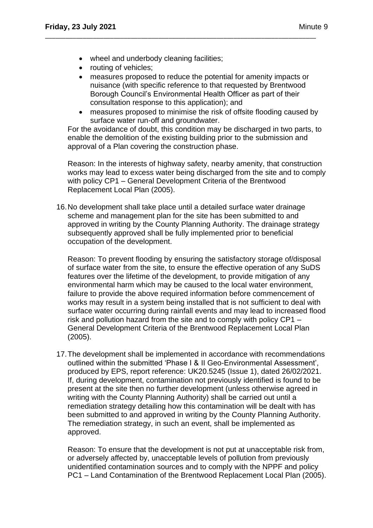- wheel and underbody cleaning facilities;
- routing of vehicles;
- measures proposed to reduce the potential for amenity impacts or nuisance (with specific reference to that requested by Brentwood Borough Council's Environmental Health Officer as part of their consultation response to this application); and

\_\_\_\_\_\_\_\_\_\_\_\_\_\_\_\_\_\_\_\_\_\_\_\_\_\_\_\_\_\_\_\_\_\_\_\_\_\_\_\_\_\_\_\_\_\_\_\_\_\_\_\_\_\_\_\_\_\_\_\_\_\_\_\_\_\_\_\_\_\_\_\_\_\_\_\_\_\_\_

• measures proposed to minimise the risk of offsite flooding caused by surface water run-off and groundwater.

For the avoidance of doubt, this condition may be discharged in two parts, to enable the demolition of the existing building prior to the submission and approval of a Plan covering the construction phase.

Reason: In the interests of highway safety, nearby amenity, that construction works may lead to excess water being discharged from the site and to comply with policy CP1 – General Development Criteria of the Brentwood Replacement Local Plan (2005).

16.No development shall take place until a detailed surface water drainage scheme and management plan for the site has been submitted to and approved in writing by the County Planning Authority. The drainage strategy subsequently approved shall be fully implemented prior to beneficial occupation of the development.

Reason: To prevent flooding by ensuring the satisfactory storage of/disposal of surface water from the site, to ensure the effective operation of any SuDS features over the lifetime of the development, to provide mitigation of any environmental harm which may be caused to the local water environment, failure to provide the above required information before commencement of works may result in a system being installed that is not sufficient to deal with surface water occurring during rainfall events and may lead to increased flood risk and pollution hazard from the site and to comply with policy CP1 – General Development Criteria of the Brentwood Replacement Local Plan (2005).

17.The development shall be implemented in accordance with recommendations outlined within the submitted 'Phase I & II Geo-Environmental Assessment', produced by EPS, report reference: UK20.5245 (Issue 1), dated 26/02/2021. If, during development, contamination not previously identified is found to be present at the site then no further development (unless otherwise agreed in writing with the County Planning Authority) shall be carried out until a remediation strategy detailing how this contamination will be dealt with has been submitted to and approved in writing by the County Planning Authority. The remediation strategy, in such an event, shall be implemented as approved.

Reason: To ensure that the development is not put at unacceptable risk from, or adversely affected by, unacceptable levels of pollution from previously unidentified contamination sources and to comply with the NPPF and policy PC1 – Land Contamination of the Brentwood Replacement Local Plan (2005).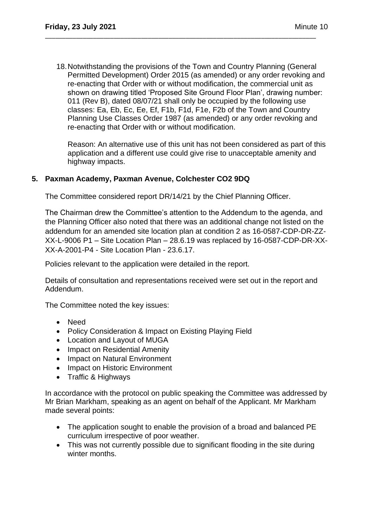18.Notwithstanding the provisions of the Town and Country Planning (General Permitted Development) Order 2015 (as amended) or any order revoking and re-enacting that Order with or without modification, the commercial unit as shown on drawing titled 'Proposed Site Ground Floor Plan', drawing number: 011 (Rev B), dated 08/07/21 shall only be occupied by the following use classes: Ea, Eb, Ec, Ee, Ef, F1b, F1d, F1e, F2b of the Town and Country Planning Use Classes Order 1987 (as amended) or any order revoking and re-enacting that Order with or without modification.

\_\_\_\_\_\_\_\_\_\_\_\_\_\_\_\_\_\_\_\_\_\_\_\_\_\_\_\_\_\_\_\_\_\_\_\_\_\_\_\_\_\_\_\_\_\_\_\_\_\_\_\_\_\_\_\_\_\_\_\_\_\_\_\_\_\_\_\_\_\_\_\_\_\_\_\_\_\_\_

Reason: An alternative use of this unit has not been considered as part of this application and a different use could give rise to unacceptable amenity and highway impacts.

## **5. Paxman Academy, Paxman Avenue, Colchester CO2 9DQ**

The Committee considered report DR/14/21 by the Chief Planning Officer.

The Chairman drew the Committee's attention to the Addendum to the agenda, and the Planning Officer also noted that there was an additional change not listed on the addendum for an amended site location plan at condition 2 as 16-0587-CDP-DR-ZZ-XX-L-9006 P1 – Site Location Plan – 28.6.19 was replaced by 16-0587-CDP-DR-XX-XX-A-2001-P4 - Site Location Plan - 23.6.17.

Policies relevant to the application were detailed in the report.

Details of consultation and representations received were set out in the report and Addendum.

The Committee noted the key issues:

- Need
- Policy Consideration & Impact on Existing Playing Field
- Location and Layout of MUGA
- Impact on Residential Amenity
- Impact on Natural Environment
- Impact on Historic Environment
- Traffic & Highways

In accordance with the protocol on public speaking the Committee was addressed by Mr Brian Markham, speaking as an agent on behalf of the Applicant. Mr Markham made several points:

- The application sought to enable the provision of a broad and balanced PE curriculum irrespective of poor weather.
- This was not currently possible due to significant flooding in the site during winter months.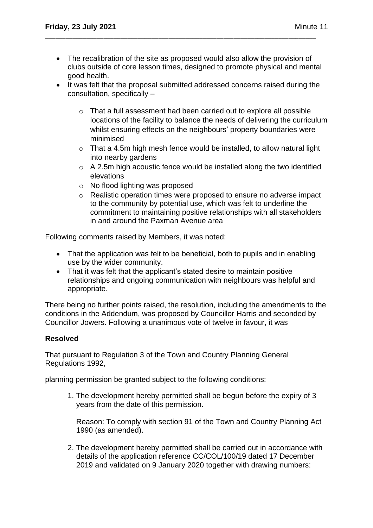• The recalibration of the site as proposed would also allow the provision of clubs outside of core lesson times, designed to promote physical and mental good health.

\_\_\_\_\_\_\_\_\_\_\_\_\_\_\_\_\_\_\_\_\_\_\_\_\_\_\_\_\_\_\_\_\_\_\_\_\_\_\_\_\_\_\_\_\_\_\_\_\_\_\_\_\_\_\_\_\_\_\_\_\_\_\_\_\_\_\_\_\_\_\_\_\_\_\_\_\_\_\_

- It was felt that the proposal submitted addressed concerns raised during the consultation, specifically –
	- o That a full assessment had been carried out to explore all possible locations of the facility to balance the needs of delivering the curriculum whilst ensuring effects on the neighbours' property boundaries were minimised
	- $\circ$  That a 4.5m high mesh fence would be installed, to allow natural light into nearby gardens
	- o A 2.5m high acoustic fence would be installed along the two identified elevations
	- o No flood lighting was proposed
	- o Realistic operation times were proposed to ensure no adverse impact to the community by potential use, which was felt to underline the commitment to maintaining positive relationships with all stakeholders in and around the Paxman Avenue area

Following comments raised by Members, it was noted:

- That the application was felt to be beneficial, both to pupils and in enabling use by the wider community.
- That it was felt that the applicant's stated desire to maintain positive relationships and ongoing communication with neighbours was helpful and appropriate.

There being no further points raised, the resolution, including the amendments to the conditions in the Addendum, was proposed by Councillor Harris and seconded by Councillor Jowers. Following a unanimous vote of twelve in favour, it was

## **Resolved**

That pursuant to Regulation 3 of the Town and Country Planning General Regulations 1992,

planning permission be granted subject to the following conditions:

1. The development hereby permitted shall be begun before the expiry of 3 years from the date of this permission.

Reason: To comply with section 91 of the Town and Country Planning Act 1990 (as amended).

2. The development hereby permitted shall be carried out in accordance with details of the application reference CC/COL/100/19 dated 17 December 2019 and validated on 9 January 2020 together with drawing numbers: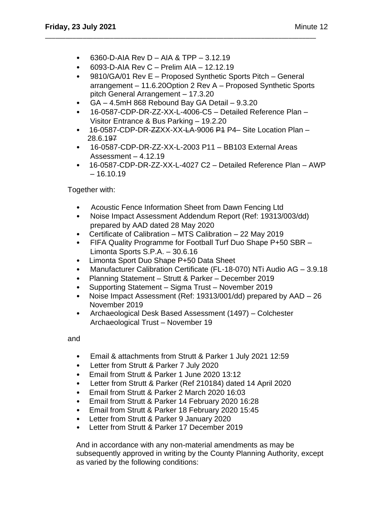- $\bullet$  6093-D-AIA Rev C Prelim AIA 12.12.19
- 9810/GA/01 Rev E Proposed Synthetic Sports Pitch General arrangement – 11.6.20Option 2 Rev A – Proposed Synthetic Sports pitch General Arrangement – 17.3.20
- GA 4.5mH 868 Rebound Bay GA Detail 9.3.20

\_\_\_\_\_\_\_\_\_\_\_\_\_\_\_\_\_\_\_\_\_\_\_\_\_\_\_\_\_\_\_\_\_\_\_\_\_\_\_\_\_\_\_\_\_\_\_\_\_\_\_\_\_\_\_\_\_\_\_\_\_\_\_\_\_\_\_\_\_\_\_\_\_\_\_\_\_\_\_

- 16-0587-CDP-DR-ZZ-XX-L-4006-C5 Detailed Reference Plan Visitor Entrance & Bus Parking – 19.2.20
- 16-0587-CDP-DR-ZZXX-XX-LA-9006 P4 P4- Site Location Plan -28.6.197
- 16-0587-CDP-DR-ZZ-XX-L-2003 P11 BB103 External Areas Assessment  $-4.12.19$
- 16-0587-CDP-DR-ZZ-XX-L-4027 C2 Detailed Reference Plan AWP  $-16.10.19$

Together with:

- Acoustic Fence Information Sheet from Dawn Fencing Ltd
- Noise Impact Assessment Addendum Report (Ref: 19313/003/dd) prepared by AAD dated 28 May 2020
- Certificate of Calibration MTS Calibration 22 May 2019
- FIFA Quality Programme for Football Turf Duo Shape P+50 SBR Limonta Sports S.P.A. – 30.6.16
- Limonta Sport Duo Shape P+50 Data Sheet
- Manufacturer Calibration Certificate (FL-18-070) NTi Audio AG 3.9.18
- Planning Statement Strutt & Parker December 2019
- Supporting Statement Sigma Trust November 2019
- Noise Impact Assessment (Ref: 19313/001/dd) prepared by AAD 26 November 2019
- Archaeological Desk Based Assessment (1497) Colchester Archaeological Trust – November 19

and

- Email & attachments from Strutt & Parker 1 July 2021 12:59
- Letter from Strutt & Parker 7 July 2020
- Email from Strutt & Parker 1 June 2020 13:12
- Letter from Strutt & Parker (Ref 210184) dated 14 April 2020
- Email from Strutt & Parker 2 March 2020 16:03
- Email from Strutt & Parker 14 February 2020 16:28
- Email from Strutt & Parker 18 February 2020 15:45
- Letter from Strutt & Parker 9 January 2020
- Letter from Strutt & Parker 17 December 2019

And in accordance with any non-material amendments as may be subsequently approved in writing by the County Planning Authority, except as varied by the following conditions: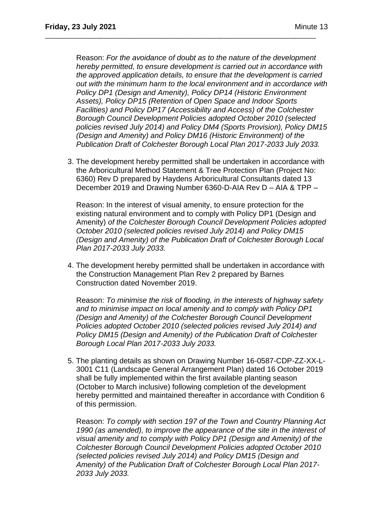Reason: *For the avoidance of doubt as to the nature of the development hereby permitted, to ensure development is carried out in accordance with the approved application details, to ensure that the development is carried out with the minimum harm to the local environment and in accordance with Policy DP1 (Design and Amenity), Policy DP14 (Historic Environment Assets), Policy DP15 (Retention of Open Space and Indoor Sports Facilities) and Policy DP17 (Accessibility and Access) of the Colchester Borough Council Development Policies adopted October 2010 (selected policies revised July 2014) and Policy DM4 (Sports Provision), Policy DM15 (Design and Amenity) and Policy DM16 (Historic Environment) of the Publication Draft of Colchester Borough Local Plan 2017-2033 July 2033.*

\_\_\_\_\_\_\_\_\_\_\_\_\_\_\_\_\_\_\_\_\_\_\_\_\_\_\_\_\_\_\_\_\_\_\_\_\_\_\_\_\_\_\_\_\_\_\_\_\_\_\_\_\_\_\_\_\_\_\_\_\_\_\_\_\_\_\_\_\_\_\_\_\_\_\_\_\_\_\_

3. The development hereby permitted shall be undertaken in accordance with the Arboricultural Method Statement & Tree Protection Plan (Project No: 6360) Rev D prepared by Haydens Arboricultural Consultants dated 13 December 2019 and Drawing Number 6360-D-AIA Rev D – AIA & TPP –

Reason: In the interest of visual amenity, to ensure protection for the existing natural environment and to comply with Policy DP1 (Design and Amenity) *of the Colchester Borough Council Development Policies adopted October 2010 (selected policies revised July 2014) and Policy DM15 (Design and Amenity) of the Publication Draft of Colchester Borough Local Plan 2017-2033 July 2033.*

4. The development hereby permitted shall be undertaken in accordance with the Construction Management Plan Rev 2 prepared by Barnes Construction dated November 2019.

Reason: *To minimise the risk of flooding, in the interests of highway safety and to minimise impact on local amenity and to comply with Policy DP1 (Design and Amenity) of the Colchester Borough Council Development Policies adopted October 2010 (selected policies revised July 2014) and Policy DM15 (Design and Amenity) of the Publication Draft of Colchester Borough Local Plan 2017-2033 July 2033.*

5. The planting details as shown on Drawing Number 16-0587-CDP-ZZ-XX-L-3001 C11 (Landscape General Arrangement Plan) dated 16 October 2019 shall be fully implemented within the first available planting season (October to March inclusive) following completion of the development hereby permitted and maintained thereafter in accordance with Condition 6 of this permission.

Reason: *To comply with section 197 of the Town and Country Planning Act 1990 (as amended), to improve the appearance of the site in the interest of visual amenity and to comply with Policy DP1 (Design and Amenity) of the Colchester Borough Council Development Policies adopted October 2010 (selected policies revised July 2014) and Policy DM15 (Design and Amenity) of the Publication Draft of Colchester Borough Local Plan 2017- 2033 July 2033.*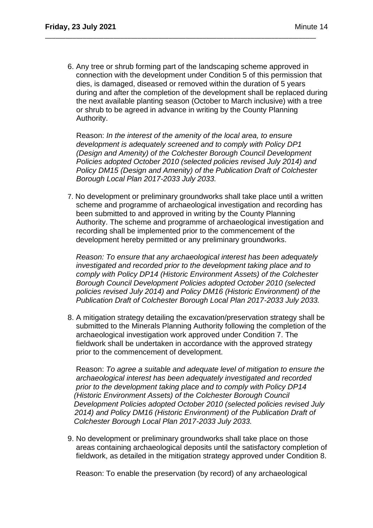6. Any tree or shrub forming part of the landscaping scheme approved in connection with the development under Condition 5 of this permission that dies, is damaged, diseased or removed within the duration of 5 years during and after the completion of the development shall be replaced during the next available planting season (October to March inclusive) with a tree or shrub to be agreed in advance in writing by the County Planning Authority.

\_\_\_\_\_\_\_\_\_\_\_\_\_\_\_\_\_\_\_\_\_\_\_\_\_\_\_\_\_\_\_\_\_\_\_\_\_\_\_\_\_\_\_\_\_\_\_\_\_\_\_\_\_\_\_\_\_\_\_\_\_\_\_\_\_\_\_\_\_\_\_\_\_\_\_\_\_\_\_

Reason: *In the interest of the amenity of the local area, to ensure development is adequately screened and to comply with Policy DP1 (Design and Amenity) of the Colchester Borough Council Development Policies adopted October 2010 (selected policies revised July 2014) and Policy DM15 (Design and Amenity) of the Publication Draft of Colchester Borough Local Plan 2017-2033 July 2033.*

7. No development or preliminary groundworks shall take place until a written scheme and programme of archaeological investigation and recording has been submitted to and approved in writing by the County Planning Authority. The scheme and programme of archaeological investigation and recording shall be implemented prior to the commencement of the development hereby permitted or any preliminary groundworks.

 *Reason: To ensure that any archaeological interest has been adequately investigated and recorded prior to the development taking place and to comply with Policy DP14 (Historic Environment Assets) of the Colchester Borough Council Development Policies adopted October 2010 (selected policies revised July 2014) and Policy DM16 (Historic Environment) of the Publication Draft of Colchester Borough Local Plan 2017-2033 July 2033.*

8. A mitigation strategy detailing the excavation/preservation strategy shall be submitted to the Minerals Planning Authority following the completion of the archaeological investigation work approved under Condition 7. The fieldwork shall be undertaken in accordance with the approved strategy prior to the commencement of development.

 Reason: *To agree a suitable and adequate level of mitigation to ensure the archaeological interest has been adequately investigated and recorded prior to the development taking place and to comply with Policy DP14 (Historic Environment Assets) of the Colchester Borough Council Development Policies adopted October 2010 (selected policies revised July 2014) and Policy DM16 (Historic Environment) of the Publication Draft of Colchester Borough Local Plan 2017-2033 July 2033.*

9. No development or preliminary groundworks shall take place on those areas containing archaeological deposits until the satisfactory completion of fieldwork, as detailed in the mitigation strategy approved under Condition 8.

Reason: To enable the preservation (by record) of any archaeological